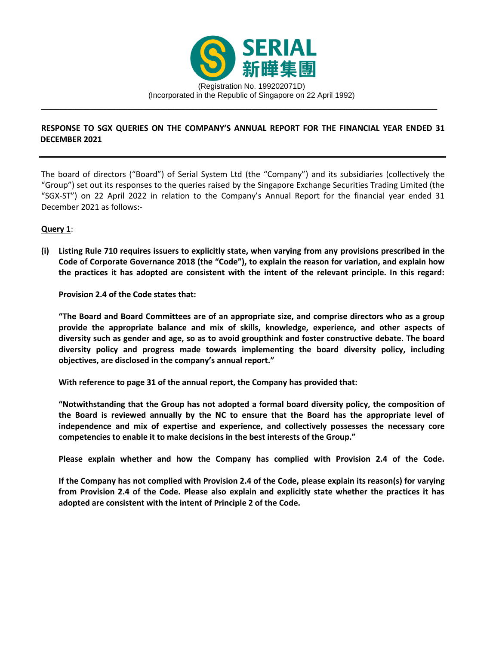

# **RESPONSE TO SGX QUERIES ON THE COMPANY'S ANNUAL REPORT FOR THE FINANCIAL YEAR ENDED 31 DECEMBER 2021**

The board of directors ("Board") of Serial System Ltd (the "Company") and its subsidiaries (collectively the "Group") set out its responses to the queries raised by the Singapore Exchange Securities Trading Limited (the "SGX-ST") on 22 April 2022 in relation to the Company's Annual Report for the financial year ended 31 December 2021 as follows:-

## **Query 1**:

**(i) Listing Rule 710 requires issuers to explicitly state, when varying from any provisions prescribed in the Code of Corporate Governance 2018 (the "Code"), to explain the reason for variation, and explain how the practices it has adopted are consistent with the intent of the relevant principle. In this regard:** 

**Provision 2.4 of the Code states that:** 

**"The Board and Board Committees are of an appropriate size, and comprise directors who as a group provide the appropriate balance and mix of skills, knowledge, experience, and other aspects of diversity such as gender and age, so as to avoid groupthink and foster constructive debate. The board diversity policy and progress made towards implementing the board diversity policy, including objectives, are disclosed in the company's annual report."**

**With reference to page 31 of the annual report, the Company has provided that:**

**"Notwithstanding that the Group has not adopted a formal board diversity policy, the composition of the Board is reviewed annually by the NC to ensure that the Board has the appropriate level of independence and mix of expertise and experience, and collectively possesses the necessary core competencies to enable it to make decisions in the best interests of the Group."**

**Please explain whether and how the Company has complied with Provision 2.4 of the Code.** 

**If the Company has not complied with Provision 2.4 of the Code, please explain its reason(s) for varying from Provision 2.4 of the Code. Please also explain and explicitly state whether the practices it has adopted are consistent with the intent of Principle 2 of the Code.**